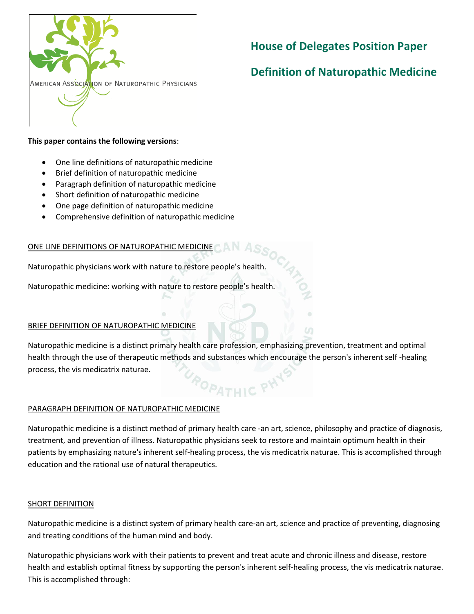

### **House of Delegates Position Paper**

### **Definition of Naturopathic Medicine**

#### **This paper contains the following versions**:

- One line definitions of naturopathic medicine
- Brief definition of naturopathic medicine
- Paragraph definition of naturopathic medicine
- Short definition of naturopathic medicine
- One page definition of naturopathic medicine
- Comprehensive definition of naturopathic medicine

#### ONE LINE DEFINITIONS OF NATUROPATHIC MEDICINE

Naturopathic physicians work with nature to restore people's health.

Naturopathic medicine: working with nature to restore people's health.

#### BRIEF DEFINITION OF NATUROPATHIC MEDICINE

Naturopathic medicine is a distinct primary health care profession, emphasizing prevention, treatment and optimal health through the use of therapeutic methods and substances which encourage the person's inherent self -healing process, the vis medicatrix naturae.

POPATHIC PH

#### PARAGRAPH DEFINITION OF NATUROPATHIC MEDICINE

Naturopathic medicine is a distinct method of primary health care -an art, science, philosophy and practice of diagnosis, treatment, and prevention of illness. Naturopathic physicians seek to restore and maintain optimum health in their patients by emphasizing nature's inherent self-healing process, the vis medicatrix naturae. This is accomplished through education and the rational use of natural therapeutics.

#### SHORT DEFINITION

Naturopathic medicine is a distinct system of primary health care-an art, science and practice of preventing, diagnosing and treating conditions of the human mind and body.

Naturopathic physicians work with their patients to prevent and treat acute and chronic illness and disease, restore health and establish optimal fitness by supporting the person's inherent self-healing process, the vis medicatrix naturae. This is accomplished through: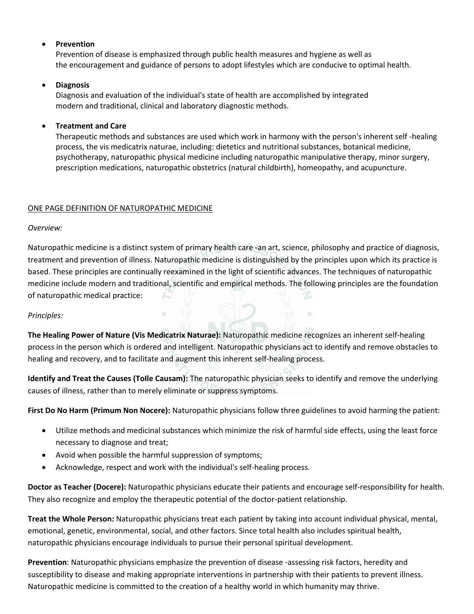#### **Prevention**

Prevention of disease is emphasized through public health measures and hygiene as well as the encouragement and guidance of persons to adopt lifestyles which are conducive to optimal health.

#### **Diagnosis**

Diagnosis and evaluation of the individual's state of health are accomplished by integrated modern and traditional, clinical and laboratory diagnostic methods.

#### **Treatment and Care**

Therapeutic methods and substances are used which work in harmony with the person's inherent self -healing process, the vis medicatrix naturae, including: dietetics and nutritional substances, botanical medicine, psychotherapy, naturopathic physical medicine including naturopathic manipulative therapy, minor surgery, prescription medications, naturopathic obstetrics (natural childbirth), homeopathy, and acupuncture.

#### ONE PAGE DEFINITION OF NATUROPATHIC MEDICINE

#### *Overview:*

Naturopathic medicine is a distinct system of primary health care -an art, science, philosophy and practice of diagnosis, treatment and prevention of illness. Naturopathic medicine is distinguished by the principles upon which its practice is based. These principles are continually reexamined in the light of scientific advances. The techniques of naturopathic medicine include modern and traditional, scientific and empirical methods. The following principles are the foundation of naturopathic medical practice:

#### *Principles:*

**The Healing Power of Nature (Vis Medicatrix Naturae):** Naturopathic medicine recognizes an inherent self-healing process in the person which is ordered and intelligent. Naturopathic physicians act to identify and remove obstacles to healing and recovery, and to facilitate and augment this inherent self-healing process.

**Identify and Treat the Causes (ToIle Causam):** The naturopathic physician seeks to identify and remove the underlying causes of illness, rather than to merely eliminate or suppress symptoms.

**First Do No Harm (Primum Non Nocere):** Naturopathic physicians follow three guidelines to avoid harming the patient:

- Utilize methods and medicinal substances which minimize the risk of harmful side effects, using the least force necessary to diagnose and treat;
- Avoid when possible the harmful suppression of symptoms;

 $\alpha$ 

Acknowledge, respect and work with the individual's self-healing process.

**Doctor as Teacher (Docere):** Naturopathic physicians educate their patients and encourage self-responsibility for health. They also recognize and employ the therapeutic potential of the doctor-patient relationship.

**Treat the Whole Person:** Naturopathic physicians treat each patient by taking into account individual physical, mental, emotional, genetic, environmental, social, and other factors. Since total health also includes spiritual health, naturopathic physicians encourage individuals to pursue their personal spiritual development.

**Prevention**: Naturopathic physicians emphasize the prevention of disease -assessing risk factors, heredity and susceptibility to disease and making appropriate interventions in partnership with their patients to prevent illness. Naturopathic medicine is committed to the creation of a healthy world in which humanity may thrive.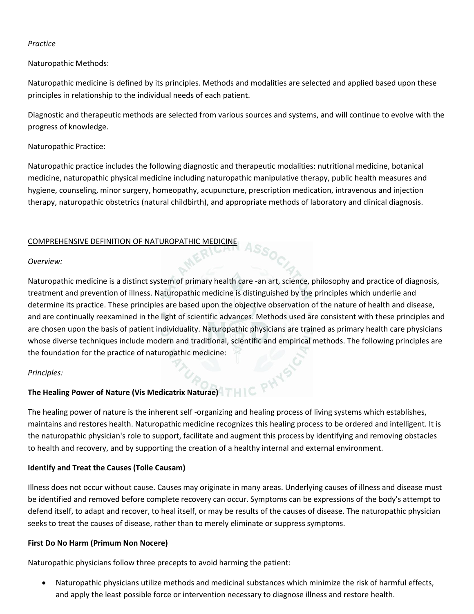#### *Practice*

Naturopathic Methods:

Naturopathic medicine is defined by its principles. Methods and modalities are selected and applied based upon these principles in relationship to the individual needs of each patient.

Diagnostic and therapeutic methods are selected from various sources and systems, and will continue to evolve with the progress of knowledge.

#### Naturopathic Practice:

Naturopathic practice includes the following diagnostic and therapeutic modalities: nutritional medicine, botanical medicine, naturopathic physical medicine including naturopathic manipulative therapy, public health measures and hygiene, counseling, minor surgery, homeopathy, acupuncture, prescription medication, intravenous and injection therapy, naturopathic obstetrics (natural childbirth), and appropriate methods of laboratory and clinical diagnosis.

#### COMPREHENSIVE DEFINITION OF NATUROPATHIC MEDICINE

#### *Overview:*

Naturopathic medicine is a distinct system of primary health care -an art, science, philosophy and practice of diagnosis, treatment and prevention of illness. Naturopathic medicine is distinguished by the principles which underlie and determine its practice. These principles are based upon the objective observation of the nature of health and disease, and are continually reexamined in the light of scientific advances. Methods used are consistent with these principles and are chosen upon the basis of patient individuality. Naturopathic physicians are trained as primary health care physicians whose diverse techniques include modern and traditional, scientific and empirical methods. The following principles are the foundation for the practice of naturopathic medicine:

#### *Principles:*

#### **The Healing Power of Nature (Vis Medicatrix Naturae)**

The healing power of nature is the inherent self -organizing and healing process of living systems which establishes, maintains and restores health. Naturopathic medicine recognizes this healing process to be ordered and intelligent. It is the naturopathic physician's role to support, facilitate and augment this process by identifying and removing obstacles to health and recovery, and by supporting the creation of a healthy internal and external environment.

#### **Identify and Treat the Causes (Tolle Causam)**

Illness does not occur without cause. Causes may originate in many areas. Underlying causes of illness and disease must be identified and removed before complete recovery can occur. Symptoms can be expressions of the body's attempt to defend itself, to adapt and recover, to heal itself, or may be results of the causes of disease. The naturopathic physician seeks to treat the causes of disease, rather than to merely eliminate or suppress symptoms.

#### **First Do No Harm (Primum Non Nocere)**

Naturopathic physicians follow three precepts to avoid harming the patient:

 Naturopathic physicians utilize methods and medicinal substances which minimize the risk of harmful effects, and apply the least possible force or intervention necessary to diagnose illness and restore health.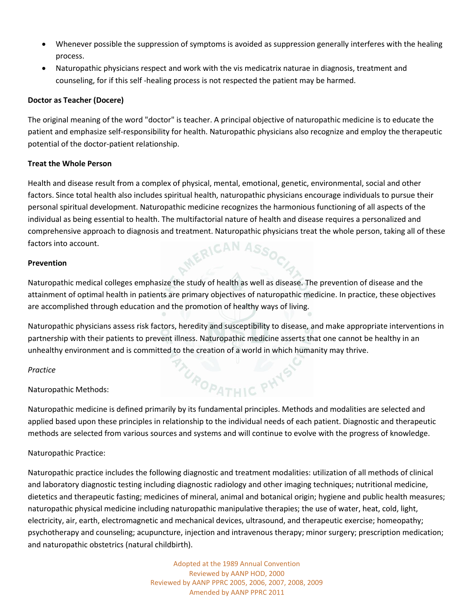- Whenever possible the suppression of symptoms is avoided as suppression generally interferes with the healing process.
- Naturopathic physicians respect and work with the vis medicatrix naturae in diagnosis, treatment and counseling, for if this self -healing process is not respected the patient may be harmed.

#### **Doctor as Teacher (Docere)**

The original meaning of the word "doctor" is teacher. A principal objective of naturopathic medicine is to educate the patient and emphasize self-responsibility for health. Naturopathic physicians also recognize and employ the therapeutic potential of the doctor-patient relationship.

#### **Treat the Whole Person**

Health and disease result from a complex of physical, mental, emotional, genetic, environmental, social and other factors. Since total health also includes spiritual health, naturopathic physicians encourage individuals to pursue their personal spiritual development. Naturopathic medicine recognizes the harmonious functioning of all aspects of the individual as being essential to health. The multifactorial nature of health and disease requires a personalized and comprehensive approach to diagnosis and treatment. Naturopathic physicians treat the whole person, taking all of these factors into account.

#### **Prevention**

Naturopathic medical colleges emphasize the study of health as well as disease. The prevention of disease and the attainment of optimal health in patients are primary objectives of naturopathic medicine. In practice, these objectives are accomplished through education and the promotion of healthy ways of living.

Naturopathic physicians assess risk factors, heredity and susceptibility to disease, and make appropriate interventions in partnership with their patients to prevent illness. Naturopathic medicine asserts that one cannot be healthy in an unhealthy environment and is committed to the creation of a world in which humanity may thrive.

#### *Practice*

Naturopathic Methods:

Naturopathic medicine is defined primarily by its fundamental principles. Methods and modalities are selected and applied based upon these principles in relationship to the individual needs of each patient. Diagnostic and therapeutic methods are selected from various sources and systems and will continue to evolve with the progress of knowledge.

TUROPATHIC PHYS

#### Naturopathic Practice:

Naturopathic practice includes the following diagnostic and treatment modalities: utilization of all methods of clinical and laboratory diagnostic testing including diagnostic radiology and other imaging techniques; nutritional medicine, dietetics and therapeutic fasting; medicines of mineral, animal and botanical origin; hygiene and public health measures; naturopathic physical medicine including naturopathic manipulative therapies; the use of water, heat, cold, light, electricity, air, earth, electromagnetic and mechanical devices, ultrasound, and therapeutic exercise; homeopathy; psychotherapy and counseling; acupuncture, injection and intravenous therapy; minor surgery; prescription medication; and naturopathic obstetrics (natural childbirth).

> Adopted at the 1989 Annual Convention Reviewed by AANP HOD, 2000 Reviewed by AANP PPRC 2005, 2006, 2007, 2008, 2009 Amended by AANP PPRC 2011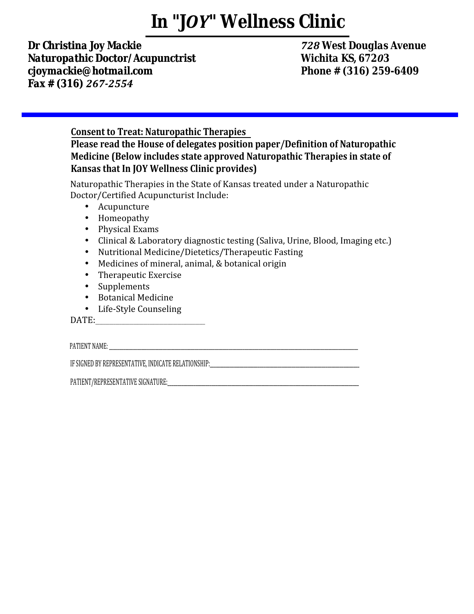*Dr Christina Joy Mackie Naturopathic Doctor/Acupunctrist cjoymackie@hotmail.com Fax # (316) 267-2554*

*728 West Douglas Avenue Wichita KS, 67203 Phone # (316) 259-6409*

### **Consent to Treat: Naturopathic Therapies**

**Please read the House of delegates position paper/Definition of Naturopathic Medicine (Below includes state approved Naturopathic Therapies in state of Kansas that In JOY Wellness Clinic provides)**

Naturopathic Therapies in the State of Kansas treated under a Naturopathic Doctor/Certified Acupuncturist Include:<br>• Acupuncture

- 
- Homeopathy<br>• Physical Exams
- 
- Clinical & Laboratory diagnostic testing (Saliva, Urine, Blood, Imaging etc.) **•** Nutritional Medicine/Dietetics/Therapeutic Fasting
- 
- Medicines of mineral, animal, & botanical origin
- Therapeutic Exercise<br>• Supplements
- 
- $\bullet$  Botanical Medicine
- Life-Style Counseling

DATE:\_\_\_\_\_\_\_\_\_\_\_\_\_\_\_\_\_\_\_\_\_\_\_\_\_\_\_\_\_\_\_\_\_\_\_\_\_\_\_\_\_\_\_\_\_\_\_\_\_\_\_\_\_\_\_

PATIENT NAME: \_\_\_\_\_\_\_\_\_\_\_\_\_\_\_\_\_\_\_\_\_\_\_\_\_\_\_\_\_\_\_\_\_\_\_\_\_\_\_\_\_\_\_\_\_\_\_\_\_\_\_\_\_\_\_\_\_\_\_\_\_\_\_\_\_\_\_\_\_\_\_\_\_\_\_\_\_\_\_\_\_\_\_\_\_\_\_\_\_\_\_\_\_\_\_\_\_\_\_\_\_\_\_\_\_\_\_\_\_\_\_\_\_\_\_\_\_\_\_\_\_\_\_\_\_

IF SIGNED BY REPRESENTATIVE, INDICATE RELATIONSHIP:

PATIENT/REPRESENTATIVE SIGNATURE: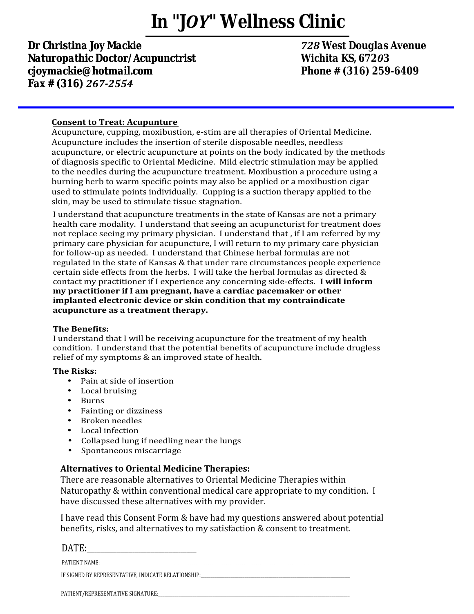*Dr Christina Joy Mackie Naturopathic Doctor/Acupunctrist cjoymackie@hotmail.com Fax # (316) 267-2554*

*728 West Douglas Avenue Wichita KS, 67203 Phone # (316) 259-6409*

#### **Consent to Treat: Acupunture**

Acupuncture, cupping, moxibustion, e-stim are all therapies of Oriental Medicine. Acupuncture includes the insertion of sterile disposable needles, needless acupuncture, or electric acupuncture at points on the body indicated by the methods of diagnosis specific to Oriental Medicine. Mild electric stimulation may be applied Acupuncture, cupping, moxibustion, e-stim are all therapies of Oriental Medicine.<br>Acupuncture includes the insertion of sterile disposable needles, needless<br>acupuncture, or electric acupuncture at points on the body indica burning herb to warm specific points may also be applied or a moxibustion cigar<br>used to stimulate points individually. Cupping is a suction therapy applied to the acupuncture, or electric acupuncture at points on the body indicated by the methods<br>of diagnosis specific to Oriental Medicine. Mild electric stimulation may be applied<br>to the needles during the acupuncture treatment. Moxi skin, may be used to stimulate tissue stagnation.

contact my practitioner if I experience any concerning side-effects. **I will inform my practitioner if I am pregnant, have a cardiac pacemaker or other implanted electronic device or skin condition that my contraindicate acupuncture as a treatment therapy.** I understand that acupuncture treatments in the state of Kansas are not a primary health care modality. I understand that seeing an acupuncturist for treatment does not replace seeing my primary physician. I understand that , if I am referred by my primary care physician for acupuncture, I will return to my primary care physician for follow-up as needed. I understand that Chinese herbal formulas are not regulated in the state of Kansas & that under rare circumstances people experience certain side effects from the herbs. I will take the herbal formulas as directed &

#### **The Benefits:**

I understand that I will be receiving acupuncture for the treatment of my health condition. I understand that the potential benefits of acupuncture include drugless relief of my symptoms & an improved state of health.

#### **The Risks:**

- Pain at side of insertion
- Local bruising<br>• Burns
- 
- Fainting or dizziness<br>• Broken needles<br>• Local infection
- 
- 
- Collapsed lung if needling near the lungs<br>• Spontaneous miscarriage
- 

#### **Alternatives to Oriental Medicine Therapies:**

There are reasonable alternatives to Oriental Medicine Therapies within Naturopathy & within conventional medical care appropriate to my condition. I have discussed these alternatives with my provider.

I have read this Consent Form & have had my questions answered about potential benefits, risks, and alternatives to my satisfaction & consent to treatment.

#### $DATA$

PATIENT NAME: \_\_\_\_\_\_\_\_\_\_\_\_\_\_\_\_\_\_\_\_\_\_\_\_\_\_\_\_\_\_\_\_\_\_\_\_\_\_\_\_\_\_\_\_\_\_\_\_\_\_\_\_\_\_\_\_\_\_\_\_\_\_\_\_\_\_\_\_\_\_\_\_\_\_\_\_\_\_\_\_\_\_\_\_\_\_\_\_\_\_\_\_\_\_\_\_\_\_\_\_\_\_\_\_\_\_\_\_\_\_\_\_\_\_\_\_\_\_\_\_\_\_\_\_\_

IF SIGNED BY REPRESENTATIVE, INDICATE RELATIONSHIP:

PATIENT/REPRESENTATIVE SIGNATURE: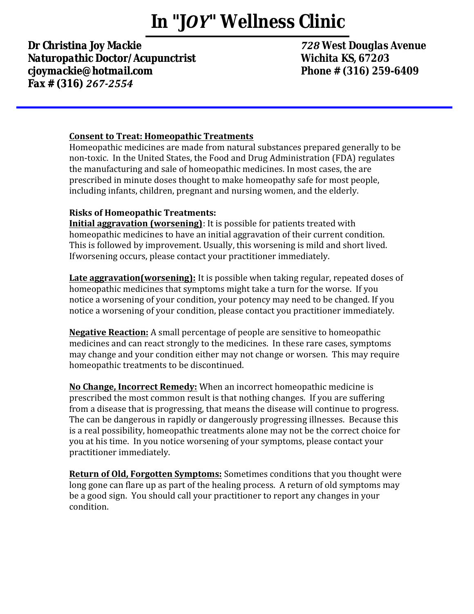*Dr Christina Joy Mackie Naturopathic Doctor/Acupunctrist cjoymackie@hotmail.com Fax # (316) 267-2554*

*728 West Douglas Avenue Wichita KS, 67203 Phone # (316) 259-6409*

### **Consent to Treat: Homeopathic Treatments**

Homeopathic medicines are made from natural substances prepared generally to be non-toxic. In the United States, the Food and Drug Administration (FDA) regulates the manufacturing and sale of homeopathic medicines. In most cases, the are prescribed in minute doses thought to make homeopathy safe for most people, including infants, children, pregnant and nursing women, and the elderly.

### **Risks of Homeopathic Treatments:**

**Initial aggravation (worsening)**: It is possible for patients treated with homeopathic medicines to have an initial aggravation of their current condition. This is followed by improvement. Usually, this worsening is mild and short lived. Ifworsening occurs, please contact your practitioner immediately.

**Late aggravation(worsening):** It is possible when taking regular, repeated doses of homeopathic medicines that symptoms might take a turn for the worse. If you notice a worsening of your condition, your potency may need to be changed. If you notice a worsening of your condition, please contact you practitioner immediately.

**Negative Reaction:** A small percentage of people are sensitive to homeopathic medicines and can react strongly to the medicines. In these rare cases, symptoms may change and your condition either may not change or worsen. This may require homeopathic treatments to be discontinued.

**No Change, Incorrect Remedy:** When an incorrect homeopathic medicine is prescribed the most common result is that nothing changes. If you are suffering from a disease that is progressing, that means the disease will continue to progress. The can be dangerous in rapidly or dangerously progressing illnesses. Because this is a real possibility, homeopathic treatments alone may not be the correct choice for you at his time. In you notice worsening of your symptoms, please contact your practitioner immediately.

**Return of Old, Forgotten Symptoms:** Sometimes conditions that you thought were long gone can flare up as part of the healing process. A return of old symptoms may be a good sign. You should call your practitioner to report any changes in your condition.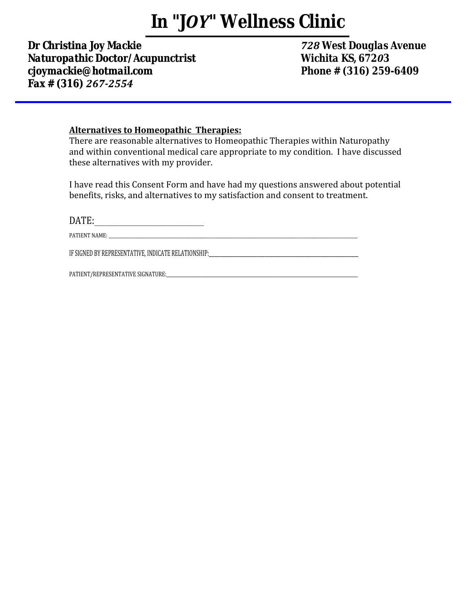*Dr Christina Joy Mackie Naturopathic Doctor/Acupunctrist cjoymackie@hotmail.com Fax # (316) 267-2554*

*728 West Douglas Avenue Wichita KS, 67203 Phone # (316) 259-6409*

#### **Alternatives to Homeopathic Therapies:**

There are reasonable alternatives to Homeopathic Therapies within Naturopathy and within conventional medical care appropriate to my condition. I have discussed these alternatives with my provider.

I have read this Consent Form and have had my questions answered about potential benefits, risks, and alternatives to my satisfaction and consent to treatment.

DATE:

PATIENT NAME: \_\_\_\_\_\_\_\_\_\_\_\_\_\_\_\_\_\_\_\_\_\_\_\_\_\_\_\_\_\_\_\_\_\_\_\_\_\_\_\_\_\_\_\_\_\_\_\_\_\_\_\_\_\_\_\_\_\_\_\_\_\_\_\_\_\_\_\_\_\_\_\_\_\_\_\_\_\_\_\_\_\_\_\_\_\_\_\_\_\_\_\_\_\_\_\_\_\_\_\_\_\_\_\_\_\_\_\_\_\_\_\_\_\_\_\_\_\_\_\_\_\_\_\_\_

IF SIGNED BY REPRESENTATIVE, INDICATE RELATIONSHIP:\_\_\_\_\_\_\_\_\_\_\_\_\_\_\_\_\_\_\_\_\_\_\_\_\_\_\_\_\_\_\_\_\_\_\_\_\_\_\_\_\_\_\_\_\_\_\_\_\_\_\_\_\_\_\_\_\_\_\_\_\_\_\_\_\_\_\_\_\_\_\_\_\_\_\_

PATIENT/REPRESENTATIVE SIGNATURE:\_\_\_\_\_\_\_\_\_\_\_\_\_\_\_\_\_\_\_\_\_\_\_\_\_\_\_\_\_\_\_\_\_\_\_\_\_\_\_\_\_\_\_\_\_\_\_\_\_\_\_\_\_\_\_\_\_\_\_\_\_\_\_\_\_\_\_\_\_\_\_\_\_\_\_\_\_\_\_\_\_\_\_\_\_\_\_\_\_\_\_\_\_\_\_\_